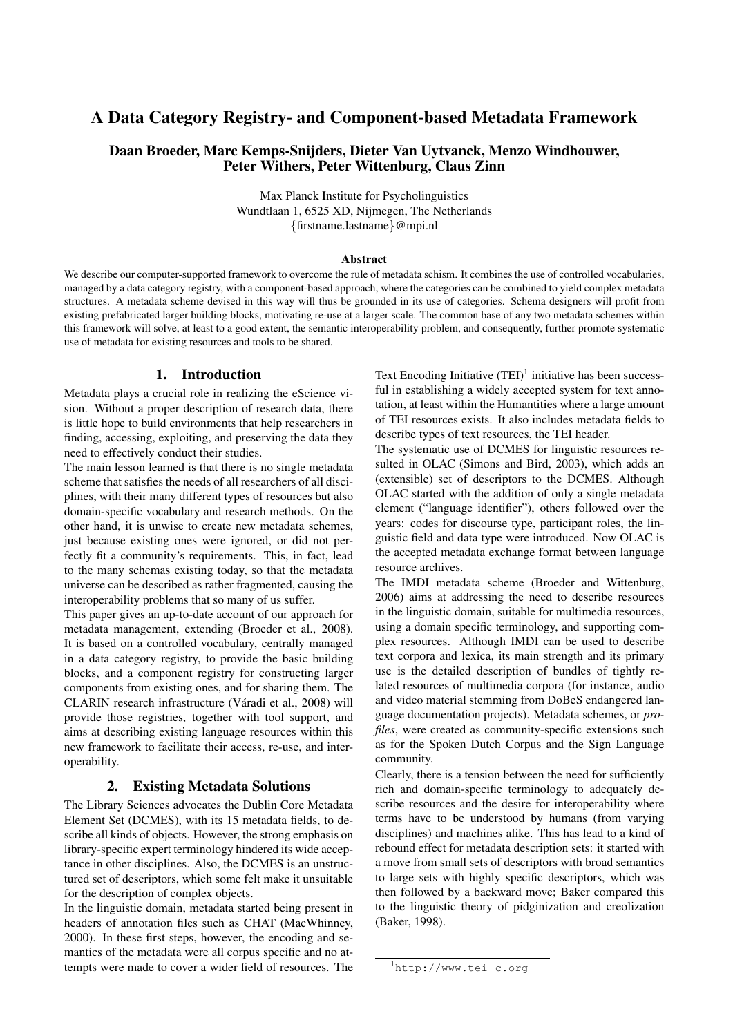# A Data Category Registry- and Component-based Metadata Framework

## Daan Broeder, Marc Kemps-Snijders, Dieter Van Uytvanck, Menzo Windhouwer, Peter Withers, Peter Wittenburg, Claus Zinn

Max Planck Institute for Psycholinguistics Wundtlaan 1, 6525 XD, Nijmegen, The Netherlands *{*firstname.lastname*}*@mpi.nl

#### **Abstract**

We describe our computer-supported framework to overcome the rule of metadata schism. It combines the use of controlled vocabularies, managed by a data category registry, with a component-based approach, where the categories can be combined to yield complex metadata structures. A metadata scheme devised in this way will thus be grounded in its use of categories. Schema designers will profit from existing prefabricated larger building blocks, motivating re-use at a larger scale. The common base of any two metadata schemes within this framework will solve, at least to a good extent, the semantic interoperability problem, and consequently, further promote systematic use of metadata for existing resources and tools to be shared.

## 1. Introduction

Metadata plays a crucial role in realizing the eScience vision. Without a proper description of research data, there is little hope to build environments that help researchers in finding, accessing, exploiting, and preserving the data they need to effectively conduct their studies.

The main lesson learned is that there is no single metadata scheme that satisfies the needs of all researchers of all disciplines, with their many different types of resources but also domain-specific vocabulary and research methods. On the other hand, it is unwise to create new metadata schemes, just because existing ones were ignored, or did not perfectly fit a community's requirements. This, in fact, lead to the many schemas existing today, so that the metadata universe can be described as rather fragmented, causing the interoperability problems that so many of us suffer.

This paper gives an up-to-date account of our approach for metadata management, extending (Broeder et al., 2008). It is based on a controlled vocabulary, centrally managed in a data category registry, to provide the basic building blocks, and a component registry for constructing larger components from existing ones, and for sharing them. The CLARIN research infrastructure (Váradi et al., 2008) will provide those registries, together with tool support, and aims at describing existing language resources within this new framework to facilitate their access, re-use, and interoperability.

#### 2. Existing Metadata Solutions

The Library Sciences advocates the Dublin Core Metadata Element Set (DCMES), with its 15 metadata fields, to describe all kinds of objects. However, the strong emphasis on library-specific expert terminology hindered its wide acceptance in other disciplines. Also, the DCMES is an unstructured set of descriptors, which some felt make it unsuitable for the description of complex objects.

In the linguistic domain, metadata started being present in headers of annotation files such as CHAT (MacWhinney, 2000). In these first steps, however, the encoding and semantics of the metadata were all corpus specific and no attempts were made to cover a wider field of resources. The Text Encoding Initiative  $(TEI)^1$  initiative has been successful in establishing a widely accepted system for text annotation, at least within the Humantities where a large amount of TEI resources exists. It also includes metadata fields to describe types of text resources, the TEI header.

The systematic use of DCMES for linguistic resources resulted in OLAC (Simons and Bird, 2003), which adds an (extensible) set of descriptors to the DCMES. Although OLAC started with the addition of only a single metadata element ("language identifier"), others followed over the years: codes for discourse type, participant roles, the linguistic field and data type were introduced. Now OLAC is the accepted metadata exchange format between language resource archives.

The IMDI metadata scheme (Broeder and Wittenburg, 2006) aims at addressing the need to describe resources in the linguistic domain, suitable for multimedia resources, using a domain specific terminology, and supporting complex resources. Although IMDI can be used to describe text corpora and lexica, its main strength and its primary use is the detailed description of bundles of tightly related resources of multimedia corpora (for instance, audio and video material stemming from DoBeS endangered language documentation projects). Metadata schemes, or *profiles*, were created as community-specific extensions such as for the Spoken Dutch Corpus and the Sign Language community.

Clearly, there is a tension between the need for sufficiently rich and domain-specific terminology to adequately describe resources and the desire for interoperability where terms have to be understood by humans (from varying disciplines) and machines alike. This has lead to a kind of rebound effect for metadata description sets: it started with a move from small sets of descriptors with broad semantics to large sets with highly specific descriptors, which was then followed by a backward move; Baker compared this to the linguistic theory of pidginization and creolization (Baker, 1998).

<sup>1</sup> http://www.tei-c.org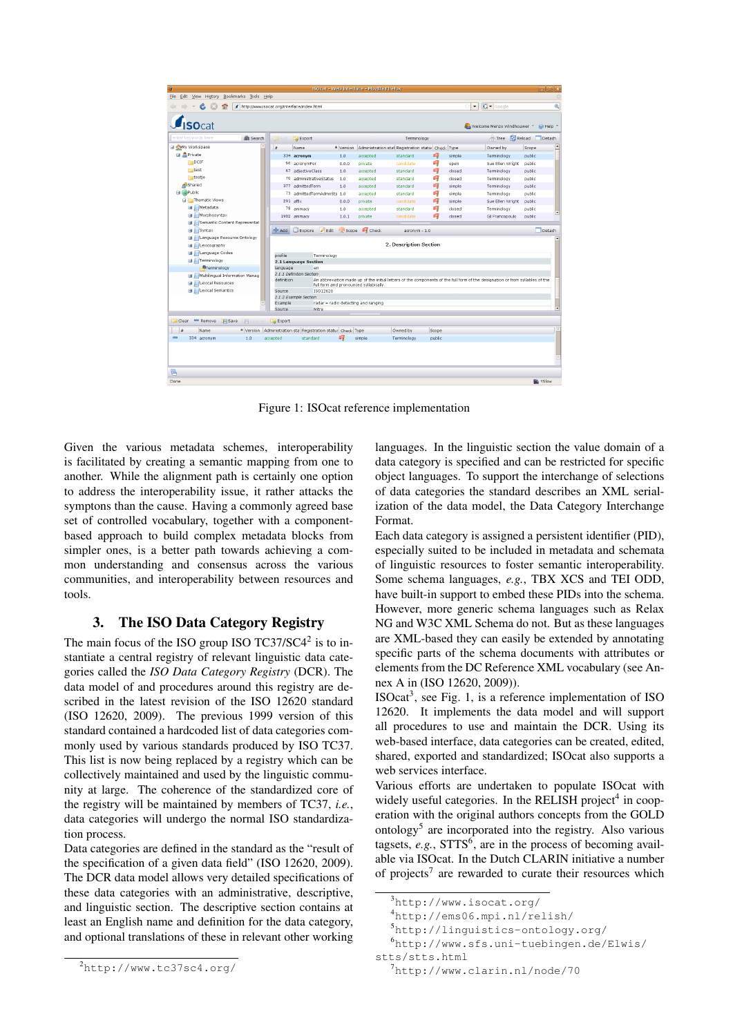| G<br><b>ISOcat - Web interface - Mozilla Firefox</b><br>$ x$ |              |                                                           |                 |                                        |                                                              |        |        |                                                                                                                               |                |
|--------------------------------------------------------------|--------------|-----------------------------------------------------------|-----------------|----------------------------------------|--------------------------------------------------------------|--------|--------|-------------------------------------------------------------------------------------------------------------------------------|----------------|
| Edit View History Bookmarks Tools Help<br>Eile<br>崇          |              |                                                           |                 |                                        |                                                              |        |        |                                                                                                                               |                |
| http://www.isocat.org/interface/index.html<br>€              |              |                                                           |                 |                                        |                                                              |        |        | <b>G</b> · Google<br>۰                                                                                                        | Q              |
|                                                              |              |                                                           |                 |                                        |                                                              |        |        |                                                                                                                               |                |
| $f_{\text{ICOcat}}$                                          |              |                                                           |                 |                                        |                                                              |        |        | Welcome Menzo Windhouwer T G Help                                                                                             |                |
| enter keywords here<br>Search                                |              | Export                                                    |                 |                                        | Terminology                                                  |        |        | Tree & Reload Detach                                                                                                          |                |
| My Workspace                                                 | #            | Name                                                      |                 |                                        | * Version Administration stal Registration statu: Check Type |        |        | Owned by                                                                                                                      | Scope          |
| <b>■ 息Private</b>                                            |              | 334 acronym                                               | 1.0             | accepted                               | standard                                                     | 吗      | simple | Terminology                                                                                                                   | public         |
| $F = DCIF$                                                   |              | 66 acronymFor                                             | 0.0.0           | private                                | candidate                                                    | 喟      | open   | Sue Ellen Wright                                                                                                              | public         |
| test                                                         |              | 67 adjectiveClass                                         | 1.0             | accepted                               | standard                                                     | 啕      | dosed  | Terminology                                                                                                                   | public         |
| <b>Estestie</b>                                              |              | 70 administrativeStatus                                   | 1.0             | accepted                               | standard                                                     | 啕      | dosed  | Terminology                                                                                                                   | public         |
| Shared                                                       |              | 377 admittedTerm                                          | 1.0             | accepted                               | standard                                                     | εij    | simple | Terminology                                                                                                                   | public         |
| <b>B B</b> Public                                            |              | 73 admittedTermAdmnSts 1.0                                |                 | accepted                               | standard                                                     | σij    | simple | Terminology                                                                                                                   | public         |
| F Thematic Views                                             |              | 291 affix                                                 | 0.0.0           | private                                | candidate                                                    | 吗      | simple | Sue Ellen Wright                                                                                                              | public         |
| <b>H</b> Metadata                                            |              | 78 animacy                                                | 1.0             | accepted                               | standard                                                     | εij    | dosed  | Terminology                                                                                                                   | public         |
| <b>B</b> Morphosyntax                                        |              | 1902 animacy                                              | 1.0.1           | private                                | candidate                                                    | £7     | dosed  | Gil Francopoulo                                                                                                               | public         |
| <b>B</b> Semantic Content Representat                        |              |                                                           |                 |                                        |                                                              |        |        |                                                                                                                               |                |
| <b>B</b> <i>L</i> Syntax                                     | <b>D</b> Add | Explore<br>$\blacksquare$ Edit                            | <b>IO</b> Scope | Check                                  | acronym - 1.0                                                |        |        |                                                                                                                               | Detach         |
| <b>H</b> / Language Resource Ontology                        |              |                                                           |                 |                                        |                                                              |        |        |                                                                                                                               |                |
| <b>B</b> / Lexicography                                      |              |                                                           |                 |                                        | 2. Description Section                                       |        |        |                                                                                                                               |                |
| <b>B</b> <i>L</i> Language Codes                             | profile      | Terminology                                               |                 |                                        |                                                              |        |        |                                                                                                                               |                |
| Ferminology                                                  |              | 2.1 Language Section                                      |                 |                                        |                                                              |        |        |                                                                                                                               |                |
| Terminology                                                  | language     | en                                                        |                 |                                        |                                                              |        |        |                                                                                                                               |                |
| <b>B</b> / Multilingual Information Manag                    |              | 2.1.1 Definition Section                                  |                 |                                        |                                                              |        |        |                                                                                                                               |                |
| <b>El Clexical Resources</b>                                 | definition   |                                                           |                 | full form and pronounced syllabically. |                                                              |        |        | An abbreviation made up of the initial letters of the components of the full form of the designation or from syllables of the |                |
| <b>El / Lexical Semantics</b>                                | Source       | ISO12620                                                  |                 |                                        |                                                              |        |        |                                                                                                                               |                |
|                                                              |              | 2.1.2 Example Section                                     |                 |                                        |                                                              |        |        |                                                                                                                               |                |
|                                                              | Example      |                                                           |                 | radar = radio detecting and ranging    |                                                              |        |        |                                                                                                                               |                |
|                                                              | Source       | Mitre                                                     |                 |                                        |                                                              |        |        |                                                                                                                               |                |
| <b>Save</b><br><b>Clear</b><br>Remove<br>Fisa                | Export       |                                                           |                 |                                        |                                                              |        |        |                                                                                                                               |                |
| u<br>Name                                                    |              | Version Administration sta Registration status Check Type |                 |                                        | Owned by                                                     | Scope  |        |                                                                                                                               |                |
| $\equiv$<br>334 acronym<br>1.0                               | accepted     | standard                                                  | εļ              | simple                                 | Terminology                                                  | public |        |                                                                                                                               |                |
|                                                              |              |                                                           |                 |                                        |                                                              |        |        |                                                                                                                               |                |
|                                                              |              |                                                           |                 |                                        |                                                              |        |        |                                                                                                                               |                |
|                                                              |              |                                                           |                 |                                        |                                                              |        |        |                                                                                                                               |                |
|                                                              |              |                                                           |                 |                                        |                                                              |        |        |                                                                                                                               |                |
| e                                                            |              |                                                           |                 |                                        |                                                              |        |        |                                                                                                                               |                |
| Done                                                         |              |                                                           |                 |                                        |                                                              |        |        |                                                                                                                               | <b>D</b> YSlow |

Figure 1: ISOcat reference implementation

Given the various metadata schemes, interoperability is facilitated by creating a semantic mapping from one to another. While the alignment path is certainly one option to address the interoperability issue, it rather attacks the symptons than the cause. Having a commonly agreed base set of controlled vocabulary, together with a componentbased approach to build complex metadata blocks from simpler ones, is a better path towards achieving a common understanding and consensus across the various communities, and interoperability between resources and tools.

### 3. The ISO Data Category Registry

The main focus of the ISO group ISO  $TC37/SC4^2$  is to instantiate a central registry of relevant linguistic data categories called the *ISO Data Category Registry* (DCR). The data model of and procedures around this registry are described in the latest revision of the ISO 12620 standard (ISO 12620, 2009). The previous 1999 version of this standard contained a hardcoded list of data categories commonly used by various standards produced by ISO TC37. This list is now being replaced by a registry which can be collectively maintained and used by the linguistic community at large. The coherence of the standardized core of the registry will be maintained by members of TC37, *i.e.*, data categories will undergo the normal ISO standardization process.

Data categories are defined in the standard as the "result of the specification of a given data field" (ISO 12620, 2009). The DCR data model allows very detailed specifications of these data categories with an administrative, descriptive, and linguistic section. The descriptive section contains at least an English name and definition for the data category, and optional translations of these in relevant other working languages. In the linguistic section the value domain of a data category is specified and can be restricted for specific object languages. To support the interchange of selections of data categories the standard describes an XML serialization of the data model, the Data Category Interchange Format.

Each data category is assigned a persistent identifier (PID), especially suited to be included in metadata and schemata of linguistic resources to foster semantic interoperability. Some schema languages, *e.g.*, TBX XCS and TEI ODD, have built-in support to embed these PIDs into the schema. However, more generic schema languages such as Relax NG and W3C XML Schema do not. But as these languages are XML-based they can easily be extended by annotating specific parts of the schema documents with attributes or elements from the DC Reference XML vocabulary (see Annex A in (ISO 12620, 2009)).

 $ISOcat<sup>3</sup>$ , see Fig. 1, is a reference implementation of ISO 12620. It implements the data model and will support all procedures to use and maintain the DCR. Using its web-based interface, data categories can be created, edited, shared, exported and standardized; ISOcat also supports a web services interface.

Various efforts are undertaken to populate ISOcat with widely useful categories. In the RELISH project<sup>4</sup> in cooperation with the original authors concepts from the GOLD ontology5 are incorporated into the registry. Also various tagsets, *e.g.*, STTS<sup>6</sup>, are in the process of becoming available via ISOcat. In the Dutch CLARIN initiative a number of projects<sup>7</sup> are rewarded to curate their resources which

<sup>2</sup> http://www.tc37sc4.org/

<sup>3</sup> http://www.isocat.org/

<sup>4</sup> http://ems06.mpi.nl/relish/

<sup>5</sup> http://linguistics-ontology.org/

<sup>6</sup> http://www.sfs.uni-tuebingen.de/Elwis/

stts/stts.html

<sup>7</sup> http://www.clarin.nl/node/70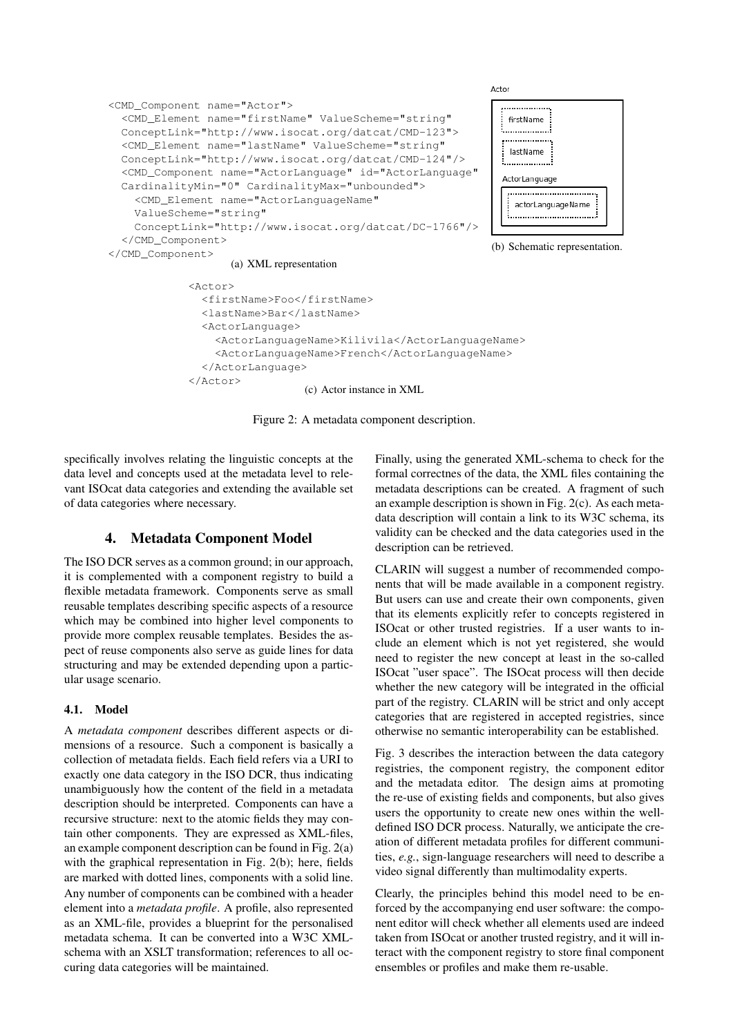

</ActorLanguage>

(c) Actor instance in XML

Figure 2: A metadata component description.

specifically involves relating the linguistic concepts at the data level and concepts used at the metadata level to relevant ISOcat data categories and extending the available set of data categories where necessary.

 $\langle$ Actor>

### 4. Metadata Component Model

The ISO DCR serves as a common ground; in our approach, it is complemented with a component registry to build a flexible metadata framework. Components serve as small reusable templates describing specific aspects of a resource which may be combined into higher level components to provide more complex reusable templates. Besides the aspect of reuse components also serve as guide lines for data structuring and may be extended depending upon a particular usage scenario.

#### 4.1. Model

A *metadata component* describes different aspects or dimensions of a resource. Such a component is basically a collection of metadata fields. Each field refers via a URI to exactly one data category in the ISO DCR, thus indicating unambiguously how the content of the field in a metadata description should be interpreted. Components can have a recursive structure: next to the atomic fields they may contain other components. They are expressed as XML-files, an example component description can be found in Fig. 2(a) with the graphical representation in Fig. 2(b); here, fields are marked with dotted lines, components with a solid line. Any number of components can be combined with a header element into a *metadata profile*. A profile, also represented as an XML-file, provides a blueprint for the personalised metadata schema. It can be converted into a W3C XMLschema with an XSLT transformation; references to all occuring data categories will be maintained.

Finally, using the generated XML-schema to check for the formal correctnes of the data, the XML files containing the metadata descriptions can be created. A fragment of such an example description is shown in Fig. 2(c). As each metadata description will contain a link to its W3C schema, its validity can be checked and the data categories used in the description can be retrieved.

CLARIN will suggest a number of recommended components that will be made available in a component registry. But users can use and create their own components, given that its elements explicitly refer to concepts registered in ISOcat or other trusted registries. If a user wants to include an element which is not yet registered, she would need to register the new concept at least in the so-called ISOcat "user space". The ISOcat process will then decide whether the new category will be integrated in the official part of the registry. CLARIN will be strict and only accept categories that are registered in accepted registries, since otherwise no semantic interoperability can be established.

Fig. 3 describes the interaction between the data category registries, the component registry, the component editor and the metadata editor. The design aims at promoting the re-use of existing fields and components, but also gives users the opportunity to create new ones within the welldefined ISO DCR process. Naturally, we anticipate the creation of different metadata profiles for different communities, *e.g.*, sign-language researchers will need to describe a video signal differently than multimodality experts.

Clearly, the principles behind this model need to be enforced by the accompanying end user software: the component editor will check whether all elements used are indeed taken from ISOcat or another trusted registry, and it will interact with the component registry to store final component ensembles or profiles and make them re-usable.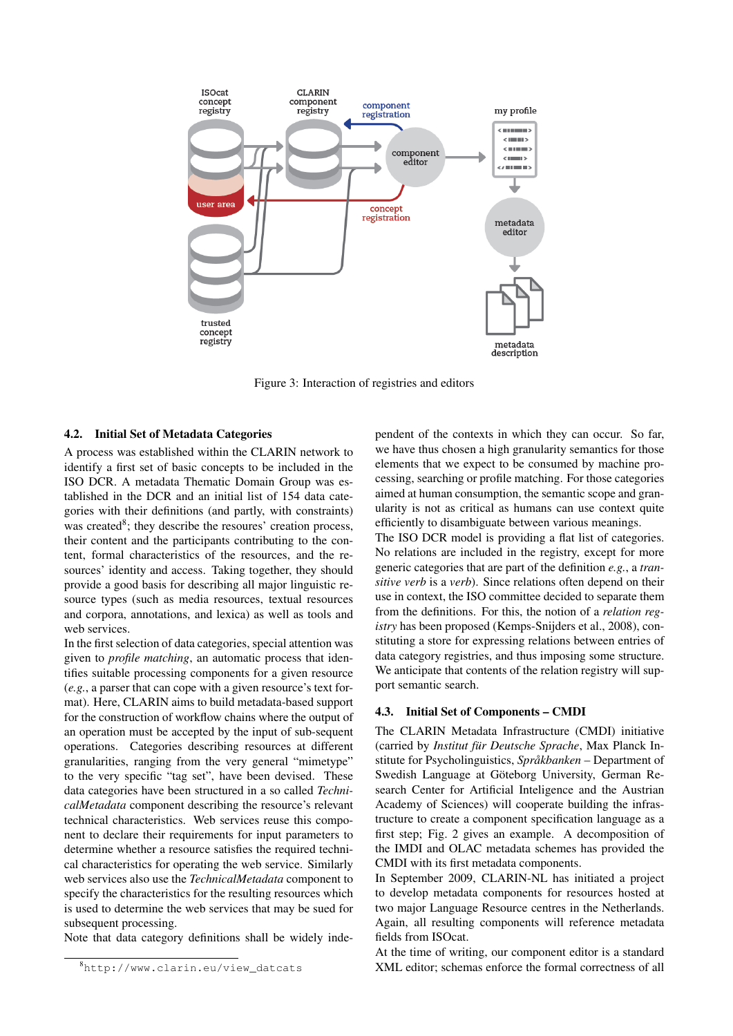

Figure 3: Interaction of registries and editors

#### 4.2. Initial Set of Metadata Categories

A process was established within the CLARIN network to identify a first set of basic concepts to be included in the ISO DCR. A metadata Thematic Domain Group was established in the DCR and an initial list of 154 data categories with their definitions (and partly, with constraints) was created<sup>8</sup>; they describe the resoures' creation process, their content and the participants contributing to the content, formal characteristics of the resources, and the resources' identity and access. Taking together, they should provide a good basis for describing all major linguistic resource types (such as media resources, textual resources and corpora, annotations, and lexica) as well as tools and web services.

In the first selection of data categories, special attention was given to *profile matching*, an automatic process that identifies suitable processing components for a given resource (*e.g.*, a parser that can cope with a given resource's text format). Here, CLARIN aims to build metadata-based support for the construction of workflow chains where the output of an operation must be accepted by the input of sub-sequent operations. Categories describing resources at different granularities, ranging from the very general "mimetype" to the very specific "tag set", have been devised. These data categories have been structured in a so called *TechnicalMetadata* component describing the resource's relevant technical characteristics. Web services reuse this component to declare their requirements for input parameters to determine whether a resource satisfies the required technical characteristics for operating the web service. Similarly web services also use the *TechnicalMetadata* component to specify the characteristics for the resulting resources which is used to determine the web services that may be sued for subsequent processing.

Note that data category definitions shall be widely inde-

pendent of the contexts in which they can occur. So far, we have thus chosen a high granularity semantics for those elements that we expect to be consumed by machine processing, searching or profile matching. For those categories aimed at human consumption, the semantic scope and granularity is not as critical as humans can use context quite efficiently to disambiguate between various meanings.

The ISO DCR model is providing a flat list of categories. No relations are included in the registry, except for more generic categories that are part of the definition *e.g.*, a *transitive verb* is a *verb*). Since relations often depend on their use in context, the ISO committee decided to separate them from the definitions. For this, the notion of a *relation registry* has been proposed (Kemps-Snijders et al., 2008), constituting a store for expressing relations between entries of data category registries, and thus imposing some structure. We anticipate that contents of the relation registry will support semantic search.

#### 4.3. Initial Set of Components – CMDI

The CLARIN Metadata Infrastructure (CMDI) initiative (carried by *Institut für Deutsche Sprache*, Max Planck Institute for Psycholinguistics, *Språkbanken* – Department of Swedish Language at Göteborg University, German Research Center for Artificial Inteligence and the Austrian Academy of Sciences) will cooperate building the infrastructure to create a component specification language as a first step; Fig. 2 gives an example. A decomposition of the IMDI and OLAC metadata schemes has provided the CMDI with its first metadata components.

In September 2009, CLARIN-NL has initiated a project to develop metadata components for resources hosted at two major Language Resource centres in the Netherlands. Again, all resulting components will reference metadata fields from ISOcat.

At the time of writing, our component editor is a standard XML editor; schemas enforce the formal correctness of all

<sup>8</sup> http://www.clarin.eu/view\_datcats